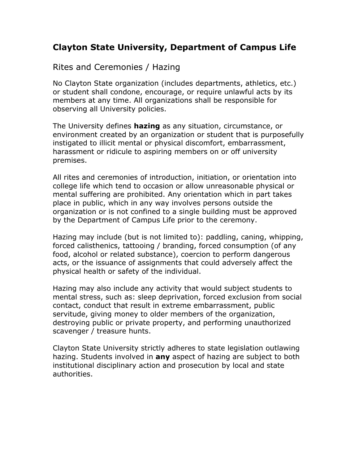## **Clayton State University, Department of Campus Life**

## Rites and Ceremonies / Hazing

No Clayton State organization (includes departments, athletics, etc.) or student shall condone, encourage, or require unlawful acts by its members at any time. All organizations shall be responsible for observing all University policies.

The University defines **hazing** as any situation, circumstance, or environment created by an organization or student that is purposefully instigated to illicit mental or physical discomfort, embarrassment, harassment or ridicule to aspiring members on or off university premises.

All rites and ceremonies of introduction, initiation, or orientation into college life which tend to occasion or allow unreasonable physical or mental suffering are prohibited. Any orientation which in part takes place in public, which in any way involves persons outside the organization or is not confined to a single building must be approved by the Department of Campus Life prior to the ceremony.

Hazing may include (but is not limited to): paddling, caning, whipping, forced calisthenics, tattooing / branding, forced consumption (of any food, alcohol or related substance), coercion to perform dangerous acts, or the issuance of assignments that could adversely affect the physical health or safety of the individual.

Hazing may also include any activity that would subject students to mental stress, such as: sleep deprivation, forced exclusion from social contact, conduct that result in extreme embarrassment, public servitude, giving money to older members of the organization, destroying public or private property, and performing unauthorized scavenger / treasure hunts.

Clayton State University strictly adheres to state legislation outlawing hazing. Students involved in **any** aspect of hazing are subject to both institutional disciplinary action and prosecution by local and state authorities.